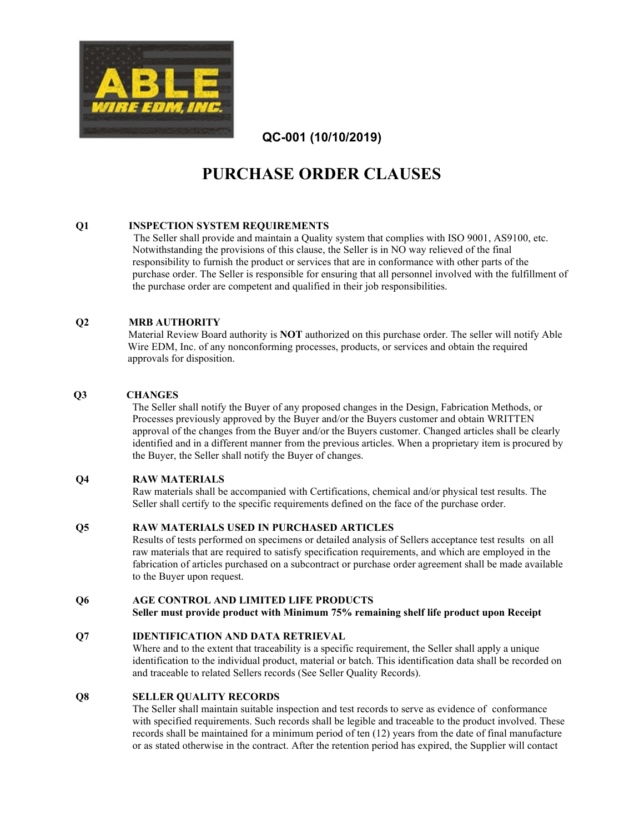

# **PURCHASE ORDER CLAUSES**

# **Q1 INSPECTION SYSTEM REQUIREMENTS**

 The Seller shall provide and maintain a Quality system that complies with ISO 9001, AS9100, etc. Notwithstanding the provisions of this clause, the Seller is in NO way relieved of the final responsibility to furnish the product or services that are in conformance with other parts of the purchase order. The Seller is responsible for ensuring that all personnel involved with the fulfillment of the purchase order are competent and qualified in their job responsibilities.

# **Q2 MRB AUTHORITY**

 Material Review Board authority is **NOT** authorized on this purchase order. The seller will notify Able Wire EDM, Inc. of any nonconforming processes, products, or services and obtain the required approvals for disposition.

# **Q3 CHANGES**

The Seller shall notify the Buyer of any proposed changes in the Design, Fabrication Methods, or Processes previously approved by the Buyer and/or the Buyers customer and obtain WRITTEN approval of the changes from the Buyer and/or the Buyers customer. Changed articles shall be clearly identified and in a different manner from the previous articles. When a proprietary item is procured by the Buyer, the Seller shall notify the Buyer of changes.

# **Q4 RAW MATERIALS**

Raw materials shall be accompanied with Certifications, chemical and/or physical test results. The Seller shall certify to the specific requirements defined on the face of the purchase order.

# **Q5 RAW MATERIALS USED IN PURCHASED ARTICLES**

Results of tests performed on specimens or detailed analysis of Sellers acceptance test results on all raw materials that are required to satisfy specification requirements, and which are employed in the fabrication of articles purchased on a subcontract or purchase order agreement shall be made available to the Buyer upon request.

# **Q6 AGE CONTROL AND LIMITED LIFE PRODUCTS**

**Seller must provide product with Minimum 75% remaining shelf life product upon Receipt**

# **Q7 IDENTIFICATION AND DATA RETRIEVAL**

Where and to the extent that traceability is a specific requirement, the Seller shall apply a unique identification to the individual product, material or batch. This identification data shall be recorded on and traceable to related Sellers records (See Seller Quality Records).

# **Q8 SELLER QUALITY RECORDS**

The Seller shall maintain suitable inspection and test records to serve as evidence of conformance with specified requirements. Such records shall be legible and traceable to the product involved. These records shall be maintained for a minimum period of ten (12) years from the date of final manufacture or as stated otherwise in the contract. After the retention period has expired, the Supplier will contact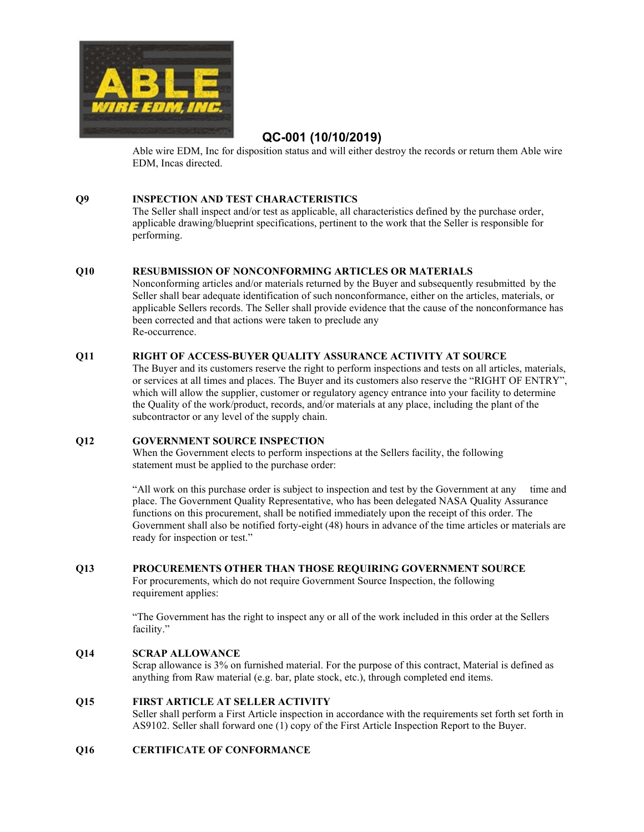

Able wire EDM, Inc for disposition status and will either destroy the records or return them Able wire EDM, Incas directed.

# **Q9 INSPECTION AND TEST CHARACTERISTICS**

The Seller shall inspect and/or test as applicable, all characteristics defined by the purchase order, applicable drawing/blueprint specifications, pertinent to the work that the Seller is responsible for performing.

# **Q10 RESUBMISSION OF NONCONFORMING ARTICLES OR MATERIALS**

Nonconforming articles and/or materials returned by the Buyer and subsequently resubmitted by the Seller shall bear adequate identification of such nonconformance, either on the articles, materials, or applicable Sellers records. The Seller shall provide evidence that the cause of the nonconformance has been corrected and that actions were taken to preclude any Re-occurrence.

# **Q11 RIGHT OF ACCESS-BUYER QUALITY ASSURANCE ACTIVITY AT SOURCE**

The Buyer and its customers reserve the right to perform inspections and tests on all articles, materials, or services at all times and places. The Buyer and its customers also reserve the "RIGHT OF ENTRY", which will allow the supplier, customer or regulatory agency entrance into your facility to determine the Quality of the work/product, records, and/or materials at any place, including the plant of the subcontractor or any level of the supply chain.

# **Q12 GOVERNMENT SOURCE INSPECTION**

When the Government elects to perform inspections at the Sellers facility, the following statement must be applied to the purchase order:

"All work on this purchase order is subject to inspection and test by the Government at any time and place. The Government Quality Representative, who has been delegated NASA Quality Assurance functions on this procurement, shall be notified immediately upon the receipt of this order. The Government shall also be notified forty-eight (48) hours in advance of the time articles or materials are ready for inspection or test."

# **Q13 PROCUREMENTS OTHER THAN THOSE REQUIRING GOVERNMENT SOURCE**

For procurements, which do not require Government Source Inspection, the following requirement applies:

"The Government has the right to inspect any or all of the work included in this order at the Sellers facility."

# **Q14 SCRAP ALLOWANCE**

Scrap allowance is 3% on furnished material. For the purpose of this contract, Material is defined as anything from Raw material (e.g. bar, plate stock, etc.), through completed end items.

# **Q15 FIRST ARTICLE AT SELLER ACTIVITY**

Seller shall perform a First Article inspection in accordance with the requirements set forth set forth in AS9102. Seller shall forward one (1) copy of the First Article Inspection Report to the Buyer.

# **Q16 CERTIFICATE OF CONFORMANCE**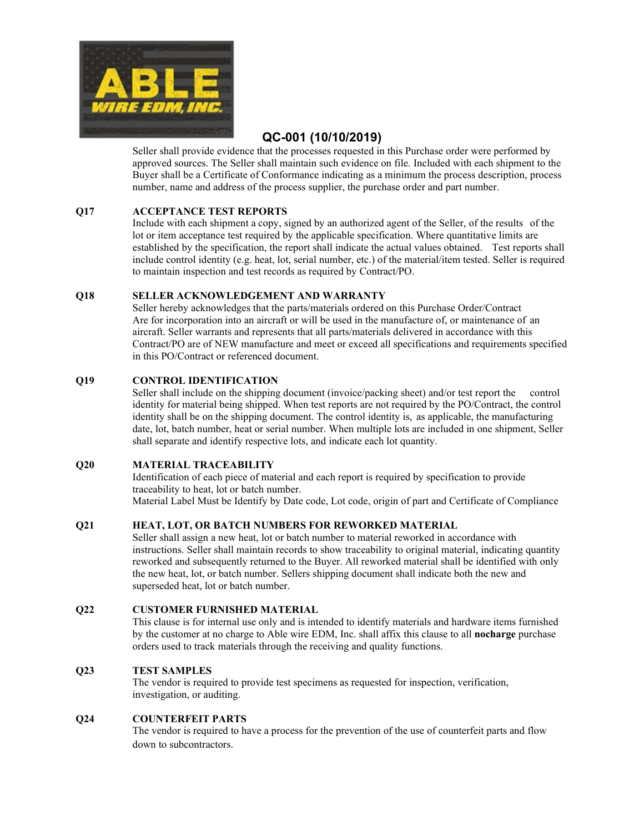

Seller shall provide evidence that the processes requested in this Purchase order were performed by approved sources. The Seller shall maintain such evidence on file. Included with each shipment to the Buyer shall be a Certificate of Conformance indicating as a minimum the process description, process number, name and address of the process supplier, the purchase order and part number.

# **Q17 ACCEPTANCE TEST REPORTS**

Include with each shipment a copy, signed by an authorized agent of the Seller, of the results of the lot or item acceptance test required by the applicable specification. Where quantitative limits are established by the specification, the report shall indicate the actual values obtained. Test reports shall include control identity (e.g. heat, lot, serial number, etc.) of the material/item tested. Seller is required to maintain inspection and test records as required by Contract/PO.

# **Q18 SELLER ACKNOWLEDGEMENT AND WARRANTY**

Seller hereby acknowledges that the parts/materials ordered on this Purchase Order/Contract Are for incorporation into an aircraft or will be used in the manufacture of, or maintenance of an aircraft. Seller warrants and represents that all parts/materials delivered in accordance with this Contract/PO are of NEW manufacture and meet or exceed all specifications and requirements specified in this PO/Contract or referenced document.

# **Q19 CONTROL IDENTIFICATION**

Seller shall include on the shipping document (invoice/packing sheet) and/or test report the control identity for material being shipped. When test reports are not required by the PO/Contract, the control identity shall be on the shipping document. The control identity is, as applicable, the manufacturing date, lot, batch number, heat or serial number. When multiple lots are included in one shipment, Seller shall separate and identify respective lots, and indicate each lot quantity.

# **Q20 MATERIAL TRACEABILITY**

Identification of each piece of material and each report is required by specification to provide traceability to heat, lot or batch number. Material Label Must be Identify by Date code, Lot code, origin of part and Certificate of Compliance

# **Q21 HEAT, LOT, OR BATCH NUMBERS FOR REWORKED MATERIAL**

Seller shall assign a new heat, lot or batch number to material reworked in accordance with instructions. Seller shall maintain records to show traceability to original material, indicating quantity reworked and subsequently returned to the Buyer. All reworked material shall be identified with only the new heat, lot, or batch number. Sellers shipping document shall indicate both the new and superseded heat, lot or batch number.

# **Q22 CUSTOMER FURNISHED MATERIAL**

This clause is for internal use only and is intended to identify materials and hardware items furnished by the customer at no charge to Able wire EDM, Inc. shall affix this clause to all **nocharge** purchase orders used to track materials through the receiving and quality functions.

# **Q23 TEST SAMPLES**

The vendor is required to provide test specimens as requested for inspection, verification, investigation, or auditing.

# **Q24 COUNTERFEIT PARTS**

The vendor is required to have a process for the prevention of the use of counterfeit parts and flow down to subcontractors.